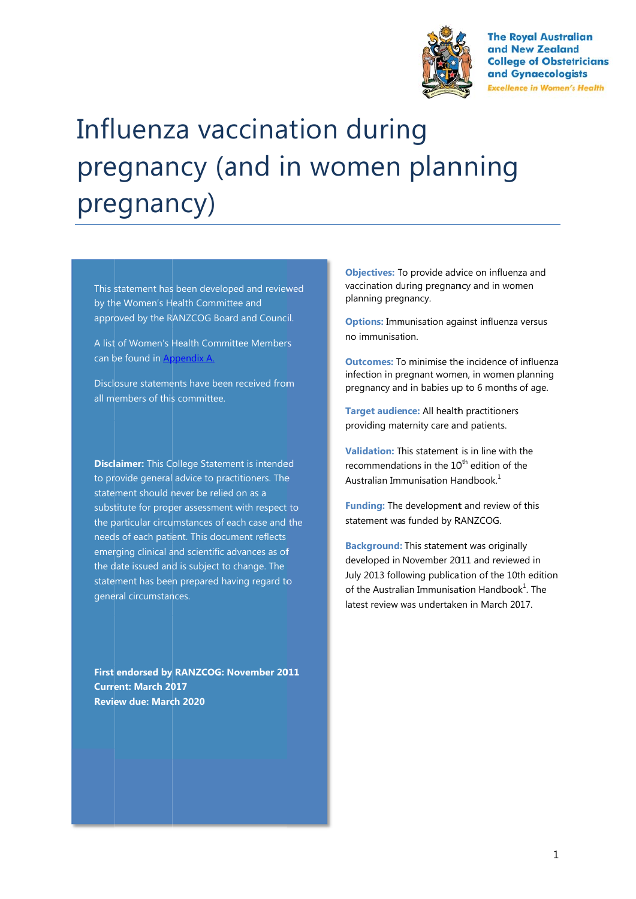

**The Royal Australian** and New Zealand **College of Obstetricians** and Gynaecologists **Excellence in Women's Health** 

# Influenza vaccination during pregnancy (and in women planning pregnancy)

This statement has been developed and reviewed by the Women's Health Committee and approved by the RANZCOG Board and Council.

A list of Women's Health Committee Members can be found in **Appendix A.** 

Disclosure statements have been received from all m embers of this s committee.

**Disclaimer:** This College Statement is intended to provide general advice to practitioners. The statement should never be relied on as a to provide general advice to practitioners. The<br>statement should never be relied on as a<br>substitute for proper assessment with respect to the particular circumstances of each case and the needs of each patient. This document reflects emerging clinical and scientific advances as of the date issued and is subject to change. The statement has been prepared having regard to general circumstances. f<br>o

First endorsed by RANZCOG: November 2011 **Current: March 2017 Review due: March 2020** 

**Objectives:** To provide advice on influenza and vaccination during pregnancy and in women planning pregnancy.

**Options:** Immunisation against influenza versus no immunisation.

**Outcomes:** To minimise the incidence of influenza infection in pregnant women, in women planning pregnancy an d in babies up p to 6 months of age.

Target audience: All health practitioners providing maternity care and patients.

**Validation:** T his statement is in line with the recommendations in the 10<sup>th</sup> edition of the Australian Immunisation Handbook.<sup>1</sup>

**Funding:** The development and review of this statement wa s funded by R RANZCOG.

**Background:** This statement was originally developed in November 2011 and reviewed in July 2013 following publication of the 10th edition of the Australian Immunisation Handbook<sup>1</sup>. The latest review was undertaken in March 2017.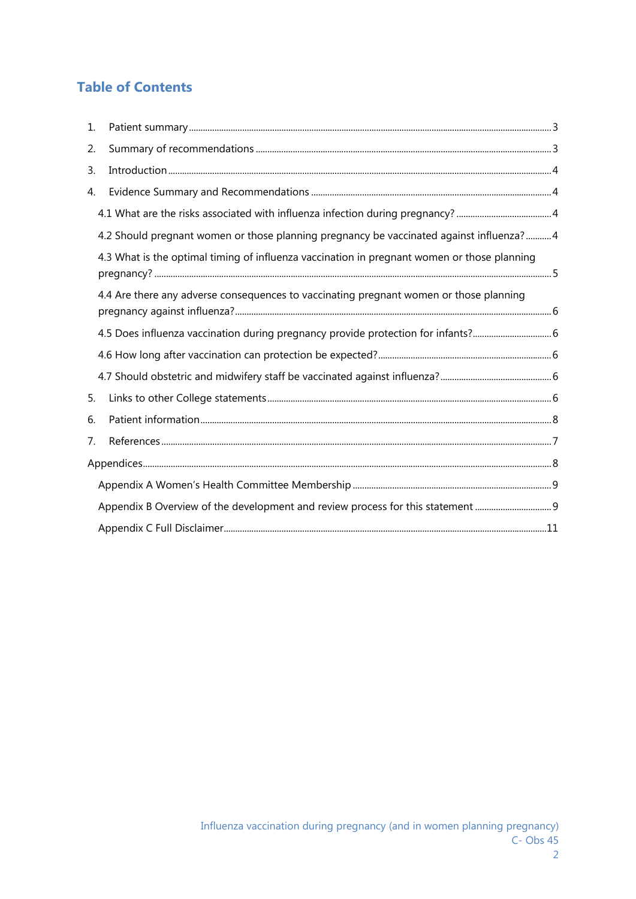# **Table of Contents**

| 1. |                                                                                             |  |
|----|---------------------------------------------------------------------------------------------|--|
| 2. |                                                                                             |  |
| 3. |                                                                                             |  |
| 4. |                                                                                             |  |
|    |                                                                                             |  |
|    | 4.2 Should pregnant women or those planning pregnancy be vaccinated against influenza?4     |  |
|    | 4.3 What is the optimal timing of influenza vaccination in pregnant women or those planning |  |
|    | 4.4 Are there any adverse consequences to vaccinating pregnant women or those planning      |  |
|    | 4.5 Does influenza vaccination during pregnancy provide protection for infants?             |  |
|    |                                                                                             |  |
|    |                                                                                             |  |
| 5. |                                                                                             |  |
| 6. |                                                                                             |  |
| 7. |                                                                                             |  |
|    |                                                                                             |  |
|    |                                                                                             |  |
|    | Appendix B Overview of the development and review process for this statement 9              |  |
|    |                                                                                             |  |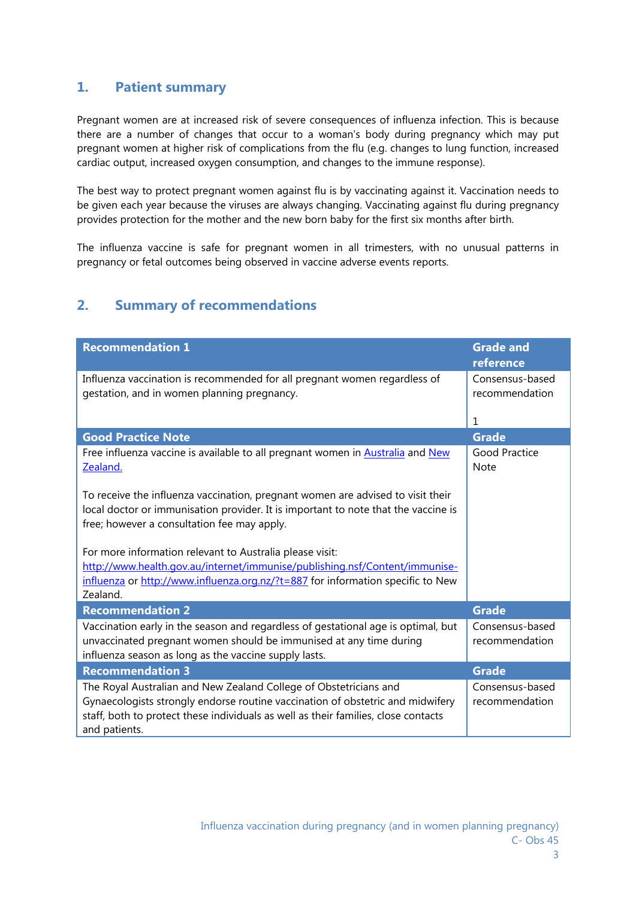## **1. Patient summary**

Pregnant women are at increased risk of severe consequences of influenza infection. This is because there are a number of changes that occur to a woman's body during pregnancy which may put pregnant women at higher risk of complications from the flu (e.g. changes to lung function, increased cardiac output, increased oxygen consumption, and changes to the immune response).

The best way to protect pregnant women against flu is by vaccinating against it. Vaccination needs to be given each year because the viruses are always changing. Vaccinating against flu during pregnancy provides protection for the mother and the new born baby for the first six months after birth.

The influenza vaccine is safe for pregnant women in all trimesters, with no unusual patterns in pregnancy or fetal outcomes being observed in vaccine adverse events reports.

# **2. Summary of recommendations**

| <b>Recommendation 1</b>                                                                                                                                                                                                                                    | <b>Grade and</b><br>reference       |
|------------------------------------------------------------------------------------------------------------------------------------------------------------------------------------------------------------------------------------------------------------|-------------------------------------|
| Influenza vaccination is recommended for all pregnant women regardless of<br>gestation, and in women planning pregnancy.                                                                                                                                   | Consensus-based<br>recommendation   |
|                                                                                                                                                                                                                                                            | 1                                   |
| <b>Good Practice Note</b>                                                                                                                                                                                                                                  | <b>Grade</b>                        |
| Free influenza vaccine is available to all pregnant women in <b>Australia</b> and New<br>Zealand.                                                                                                                                                          | <b>Good Practice</b><br><b>Note</b> |
| To receive the influenza vaccination, pregnant women are advised to visit their<br>local doctor or immunisation provider. It is important to note that the vaccine is<br>free; however a consultation fee may apply.                                       |                                     |
| For more information relevant to Australia please visit:                                                                                                                                                                                                   |                                     |
| http://www.health.gov.au/internet/immunise/publishing.nsf/Content/immunise-                                                                                                                                                                                |                                     |
| influenza or http://www.influenza.org.nz/?t=887 for information specific to New<br>Zealand.                                                                                                                                                                |                                     |
| <b>Recommendation 2</b>                                                                                                                                                                                                                                    | <b>Grade</b>                        |
| Vaccination early in the season and regardless of gestational age is optimal, but<br>unvaccinated pregnant women should be immunised at any time during<br>influenza season as long as the vaccine supply lasts.                                           | Consensus-based<br>recommendation   |
| <b>Recommendation 3</b>                                                                                                                                                                                                                                    | <b>Grade</b>                        |
| The Royal Australian and New Zealand College of Obstetricians and<br>Gynaecologists strongly endorse routine vaccination of obstetric and midwifery<br>staff, both to protect these individuals as well as their families, close contacts<br>and patients. | Consensus-based<br>recommendation   |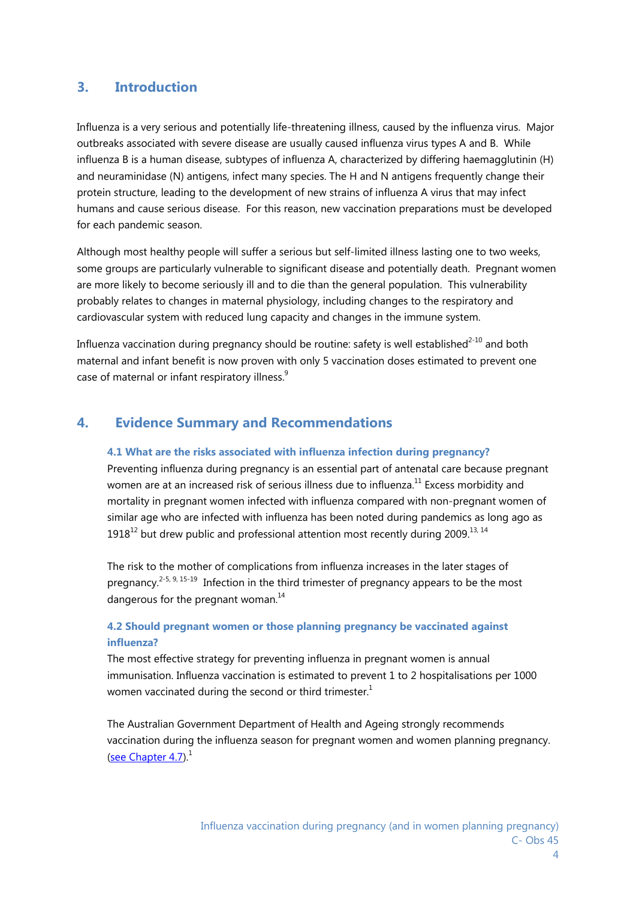## **3. Introduction**

Influenza is a very serious and potentially life-threatening illness, caused by the influenza virus. Major outbreaks associated with severe disease are usually caused influenza virus types A and B. While influenza B is a human disease, subtypes of influenza A, characterized by differing haemagglutinin (H) and neuraminidase (N) antigens, infect many species. The H and N antigens frequently change their protein structure, leading to the development of new strains of influenza A virus that may infect humans and cause serious disease. For this reason, new vaccination preparations must be developed for each pandemic season.

Although most healthy people will suffer a serious but self-limited illness lasting one to two weeks, some groups are particularly vulnerable to significant disease and potentially death. Pregnant women are more likely to become seriously ill and to die than the general population. This vulnerability probably relates to changes in maternal physiology, including changes to the respiratory and cardiovascular system with reduced lung capacity and changes in the immune system.

Influenza vaccination during pregnancy should be routine: safety is well established $^{2-10}$  and both maternal and infant benefit is now proven with only 5 vaccination doses estimated to prevent one case of maternal or infant respiratory illness.<sup>9</sup>

## **4. Evidence Summary and Recommendations**

#### **4.1 What are the risks associated with influenza infection during pregnancy?**

Preventing influenza during pregnancy is an essential part of antenatal care because pregnant women are at an increased risk of serious illness due to influenza.<sup>11</sup> Excess morbidity and mortality in pregnant women infected with influenza compared with non-pregnant women of similar age who are infected with influenza has been noted during pandemics as long ago as  $1918^{12}$  but drew public and professional attention most recently during 2009.<sup>13, 14</sup>

The risk to the mother of complications from influenza increases in the later stages of pregnancy.<sup>2-5, 9, 15-19</sup> Infection in the third trimester of pregnancy appears to be the most dangerous for the pregnant woman.<sup>14</sup>

## **4.2 Should pregnant women or those planning pregnancy be vaccinated against influenza?**

The most effective strategy for preventing influenza in pregnant women is annual immunisation. Influenza vaccination is estimated to prevent 1 to 2 hospitalisations per 1000 women vaccinated during the second or third trimester.<sup>1</sup>

The Australian Government Department of Health and Ageing strongly recommends vaccination during the influenza season for pregnant women and women planning pregnancy. (see Chapter 4.7). $<sup>1</sup>$ </sup>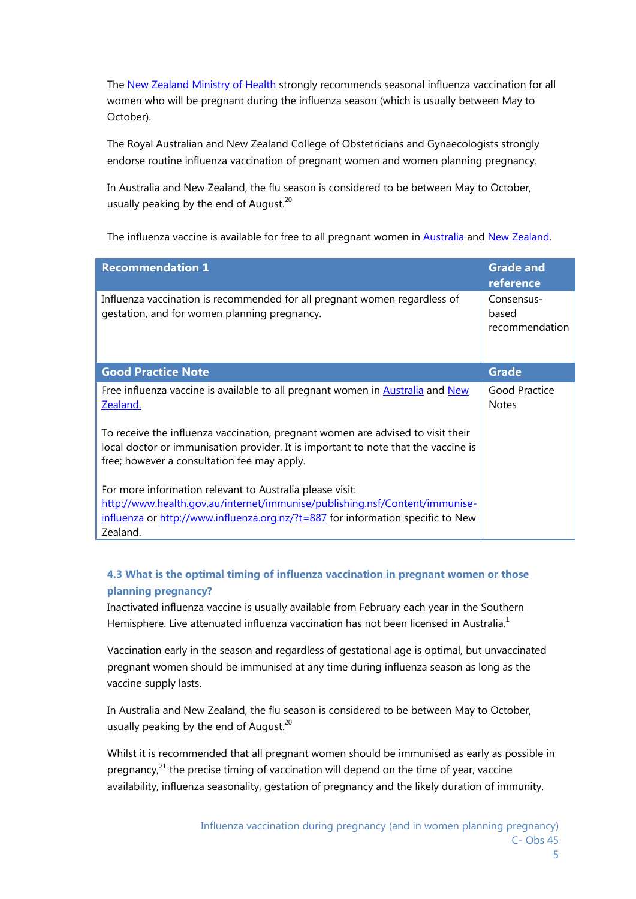The New Zealand Ministry of Health strongly recommends seasonal influenza vaccination for all women who will be pregnant during the influenza season (which is usually between May to October).

The Royal Australian and New Zealand College of Obstetricians and Gynaecologists strongly endorse routine influenza vaccination of pregnant women and women planning pregnancy.

In Australia and New Zealand, the flu season is considered to be between May to October, usually peaking by the end of August. $20$ 

The influenza vaccine is available for free to all pregnant women in Australia and New Zealand.

| <b>Recommendation 1</b>                                                                                                                                                                                                                  | <b>Grade and</b><br>reference         |
|------------------------------------------------------------------------------------------------------------------------------------------------------------------------------------------------------------------------------------------|---------------------------------------|
| Influenza vaccination is recommended for all pregnant women regardless of<br>gestation, and for women planning pregnancy.                                                                                                                | Consensus-<br>based<br>recommendation |
| <b>Good Practice Note</b>                                                                                                                                                                                                                | <b>Grade</b>                          |
| Free influenza vaccine is available to all pregnant women in Australia and New<br>Zealand.                                                                                                                                               | Good Practice<br><b>Notes</b>         |
| To receive the influenza vaccination, pregnant women are advised to visit their<br>local doctor or immunisation provider. It is important to note that the vaccine is<br>free; however a consultation fee may apply.                     |                                       |
| For more information relevant to Australia please visit:<br>http://www.health.gov.au/internet/immunise/publishing.nsf/Content/immunise-<br>$influenza$ or http://www.influenza.org.nz/?t=887 for information specific to New<br>Zealand. |                                       |

## **4.3 What is the optimal timing of influenza vaccination in pregnant women or those planning pregnancy?**

Inactivated influenza vaccine is usually available from February each year in the Southern Hemisphere. Live attenuated influenza vaccination has not been licensed in Australia.<sup>1</sup>

Vaccination early in the season and regardless of gestational age is optimal, but unvaccinated pregnant women should be immunised at any time during influenza season as long as the vaccine supply lasts.

In Australia and New Zealand, the flu season is considered to be between May to October, usually peaking by the end of August. $^{20}$ 

Whilst it is recommended that all pregnant women should be immunised as early as possible in pregnancy, $21$  the precise timing of vaccination will depend on the time of year, vaccine availability, influenza seasonality, gestation of pregnancy and the likely duration of immunity.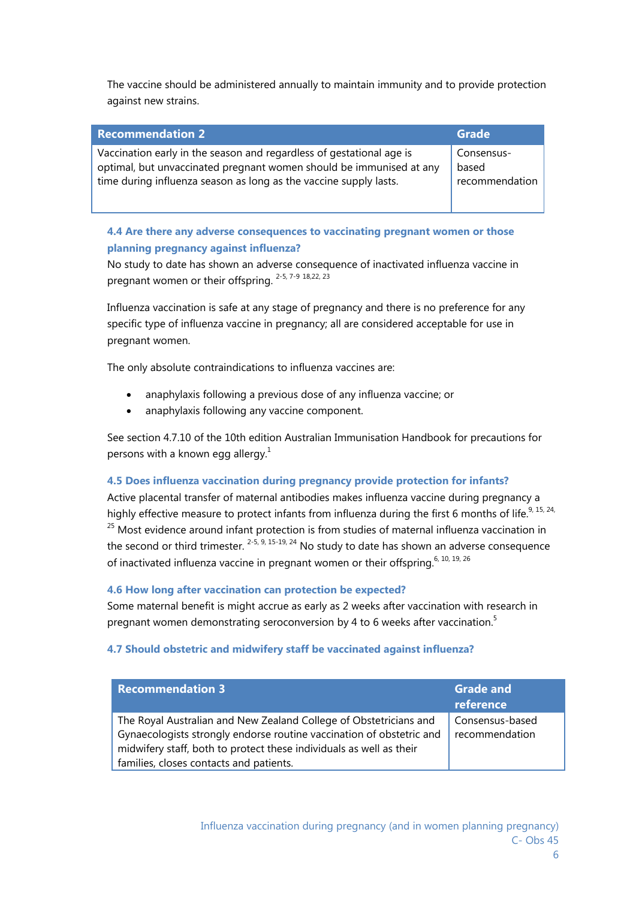The vaccine should be administered annually to maintain immunity and to provide protection against new strains.

| <b>Recommendation 2</b>                                              | Grade          |
|----------------------------------------------------------------------|----------------|
| Vaccination early in the season and regardless of gestational age is | Consensus-     |
| optimal, but unvaccinated pregnant women should be immunised at any  | based          |
| time during influenza season as long as the vaccine supply lasts.    | recommendation |

## **4.4 Are there any adverse consequences to vaccinating pregnant women or those planning pregnancy against influenza?**

No study to date has shown an adverse consequence of inactivated influenza vaccine in pregnant women or their offspring. 2-5, 7-9 18,22, 23

Influenza vaccination is safe at any stage of pregnancy and there is no preference for any specific type of influenza vaccine in pregnancy; all are considered acceptable for use in pregnant women.

The only absolute contraindications to influenza vaccines are:

- anaphylaxis following a previous dose of any influenza vaccine; or
- anaphylaxis following any vaccine component.

See section 4.7.10 of the 10th edition Australian Immunisation Handbook for precautions for persons with a known egg allergy.<sup>1</sup>

#### **4.5 Does influenza vaccination during pregnancy provide protection for infants?**

Active placental transfer of maternal antibodies makes influenza vaccine during pregnancy a highly effective measure to protect infants from influenza during the first 6 months of life.<sup>9, 15, 24,</sup>  $25$  Most evidence around infant protection is from studies of maternal influenza vaccination in the second or third trimester.  $2-5$ ,  $9$ ,  $15-19$ ,  $24$  No study to date has shown an adverse consequence of inactivated influenza vaccine in pregnant women or their offspring.<sup>6, 10, 19, 26</sup>

#### **4.6 How long after vaccination can protection be expected?**

Some maternal benefit is might accrue as early as 2 weeks after vaccination with research in pregnant women demonstrating seroconversion by 4 to 6 weeks after vaccination.<sup>5</sup>

#### **4.7 Should obstetric and midwifery staff be vaccinated against influenza?**

| <b>Recommendation 3</b>                                              | <b>Grade and</b><br>reference |
|----------------------------------------------------------------------|-------------------------------|
| The Royal Australian and New Zealand College of Obstetricians and    | Consensus-based               |
| Gynaecologists strongly endorse routine vaccination of obstetric and | recommendation                |
| midwifery staff, both to protect these individuals as well as their  |                               |
| families, closes contacts and patients.                              |                               |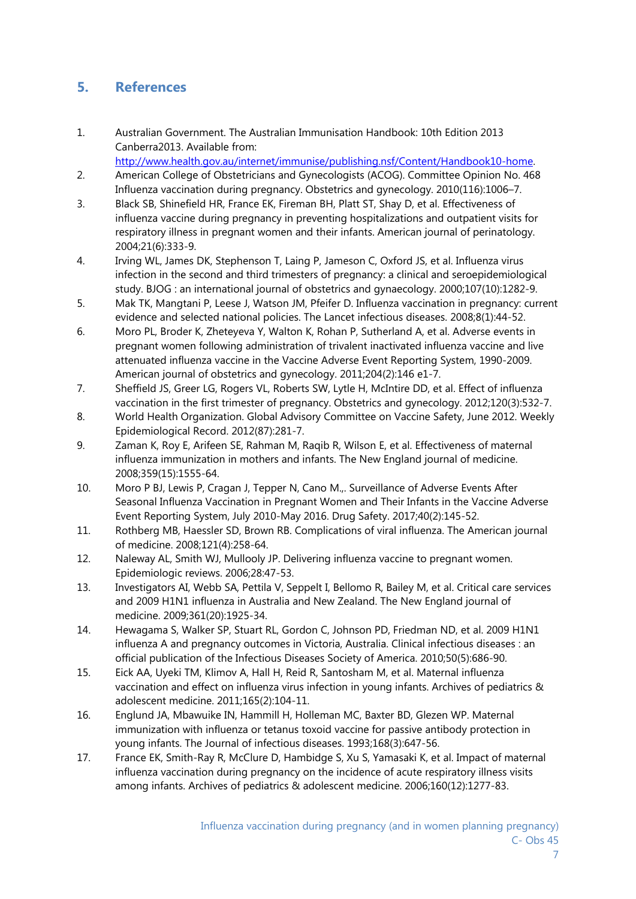# **5. References**

1. Australian Government. The Australian Immunisation Handbook: 10th Edition 2013 Canberra2013. Available from:

http://www.health.gov.au/internet/immunise/publishing.nsf/Content/Handbook10-home.

- 2. American College of Obstetricians and Gynecologists (ACOG). Committee Opinion No. 468 Influenza vaccination during pregnancy. Obstetrics and gynecology. 2010(116):1006–7.
- 3. Black SB, Shinefield HR, France EK, Fireman BH, Platt ST, Shay D, et al. Effectiveness of influenza vaccine during pregnancy in preventing hospitalizations and outpatient visits for respiratory illness in pregnant women and their infants. American journal of perinatology. 2004;21(6):333-9.
- 4. Irving WL, James DK, Stephenson T, Laing P, Jameson C, Oxford JS, et al. Influenza virus infection in the second and third trimesters of pregnancy: a clinical and seroepidemiological study. BJOG : an international journal of obstetrics and gynaecology. 2000;107(10):1282-9.
- 5. Mak TK, Mangtani P, Leese J, Watson JM, Pfeifer D. Influenza vaccination in pregnancy: current evidence and selected national policies. The Lancet infectious diseases. 2008;8(1):44-52.
- 6. Moro PL, Broder K, Zheteyeva Y, Walton K, Rohan P, Sutherland A, et al. Adverse events in pregnant women following administration of trivalent inactivated influenza vaccine and live attenuated influenza vaccine in the Vaccine Adverse Event Reporting System, 1990-2009. American journal of obstetrics and gynecology. 2011;204(2):146 e1-7.
- 7. Sheffield JS, Greer LG, Rogers VL, Roberts SW, Lytle H, McIntire DD, et al. Effect of influenza vaccination in the first trimester of pregnancy. Obstetrics and gynecology. 2012;120(3):532-7.
- 8. World Health Organization. Global Advisory Committee on Vaccine Safety, June 2012. Weekly Epidemiological Record. 2012(87):281-7.
- 9. Zaman K, Roy E, Arifeen SE, Rahman M, Raqib R, Wilson E, et al. Effectiveness of maternal influenza immunization in mothers and infants. The New England journal of medicine. 2008;359(15):1555-64.
- 10. Moro P BJ, Lewis P, Cragan J, Tepper N, Cano M.,. Surveillance of Adverse Events After Seasonal Influenza Vaccination in Pregnant Women and Their Infants in the Vaccine Adverse Event Reporting System, July 2010-May 2016. Drug Safety. 2017;40(2):145-52.
- 11. Rothberg MB, Haessler SD, Brown RB. Complications of viral influenza. The American journal of medicine. 2008;121(4):258-64.
- 12. Naleway AL, Smith WJ, Mullooly JP. Delivering influenza vaccine to pregnant women. Epidemiologic reviews. 2006;28:47-53.
- 13. Investigators AI, Webb SA, Pettila V, Seppelt I, Bellomo R, Bailey M, et al. Critical care services and 2009 H1N1 influenza in Australia and New Zealand. The New England journal of medicine. 2009;361(20):1925-34.
- 14. Hewagama S, Walker SP, Stuart RL, Gordon C, Johnson PD, Friedman ND, et al. 2009 H1N1 influenza A and pregnancy outcomes in Victoria, Australia. Clinical infectious diseases : an official publication of the Infectious Diseases Society of America. 2010;50(5):686-90.
- 15. Eick AA, Uyeki TM, Klimov A, Hall H, Reid R, Santosham M, et al. Maternal influenza vaccination and effect on influenza virus infection in young infants. Archives of pediatrics & adolescent medicine. 2011;165(2):104-11.
- 16. Englund JA, Mbawuike IN, Hammill H, Holleman MC, Baxter BD, Glezen WP. Maternal immunization with influenza or tetanus toxoid vaccine for passive antibody protection in young infants. The Journal of infectious diseases. 1993;168(3):647-56.
- 17. France EK, Smith-Ray R, McClure D, Hambidge S, Xu S, Yamasaki K, et al. Impact of maternal influenza vaccination during pregnancy on the incidence of acute respiratory illness visits among infants. Archives of pediatrics & adolescent medicine. 2006;160(12):1277-83.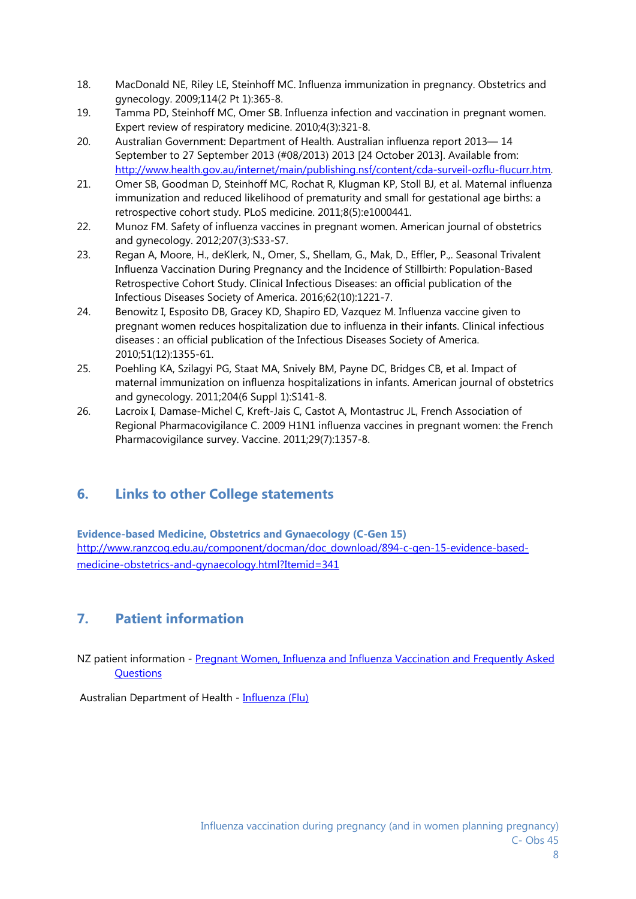- 18. MacDonald NE, Riley LE, Steinhoff MC. Influenza immunization in pregnancy. Obstetrics and gynecology. 2009;114(2 Pt 1):365-8.
- 19. Tamma PD, Steinhoff MC, Omer SB. Influenza infection and vaccination in pregnant women. Expert review of respiratory medicine. 2010;4(3):321-8.
- 20. Australian Government: Department of Health. Australian influenza report 2013— 14 September to 27 September 2013 (#08/2013) 2013 [24 October 2013]. Available from: http://www.health.gov.au/internet/main/publishing.nsf/content/cda-surveil-ozflu-flucurr.htm.
- 21. Omer SB, Goodman D, Steinhoff MC, Rochat R, Klugman KP, Stoll BJ, et al. Maternal influenza immunization and reduced likelihood of prematurity and small for gestational age births: a retrospective cohort study. PLoS medicine. 2011;8(5):e1000441.
- 22. Munoz FM. Safety of influenza vaccines in pregnant women. American journal of obstetrics and gynecology. 2012;207(3):S33-S7.
- 23. Regan A, Moore, H., deKlerk, N., Omer, S., Shellam, G., Mak, D., Effler, P.,. Seasonal Trivalent Influenza Vaccination During Pregnancy and the Incidence of Stillbirth: Population-Based Retrospective Cohort Study. Clinical Infectious Diseases: an official publication of the Infectious Diseases Society of America. 2016;62(10):1221-7.
- 24. Benowitz I, Esposito DB, Gracey KD, Shapiro ED, Vazquez M. Influenza vaccine given to pregnant women reduces hospitalization due to influenza in their infants. Clinical infectious diseases : an official publication of the Infectious Diseases Society of America. 2010;51(12):1355-61.
- 25. Poehling KA, Szilagyi PG, Staat MA, Snively BM, Payne DC, Bridges CB, et al. Impact of maternal immunization on influenza hospitalizations in infants. American journal of obstetrics and gynecology. 2011;204(6 Suppl 1):S141-8.
- 26. Lacroix I, Damase-Michel C, Kreft-Jais C, Castot A, Montastruc JL, French Association of Regional Pharmacovigilance C. 2009 H1N1 influenza vaccines in pregnant women: the French Pharmacovigilance survey. Vaccine. 2011;29(7):1357-8.

# **6. Links to other College statements**

**Evidence-based Medicine, Obstetrics and Gynaecology (C-Gen 15)**  http://www.ranzcog.edu.au/component/docman/doc\_download/894-c-gen-15-evidence-basedmedicine-obstetrics-and-gynaecology.html?Itemid=341

# **7. Patient information**

NZ patient information - Pregnant Women, Influenza and Influenza Vaccination and Frequently Asked Questions

Australian Department of Health - Influenza (Flu)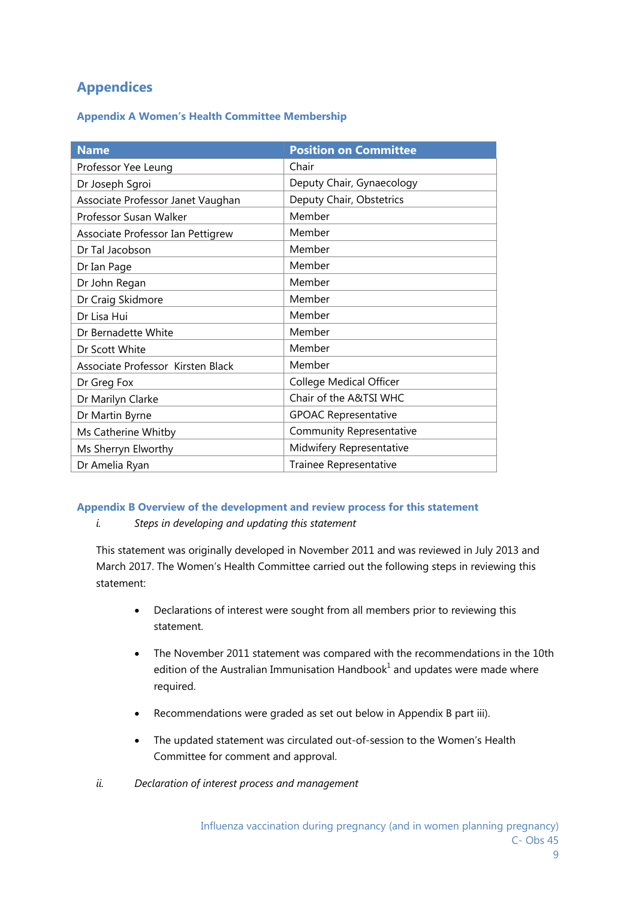# **Appendices**

#### **Appendix A Women's Health Committee Membership**

| <b>Name</b>                       | <b>Position on Committee</b> |
|-----------------------------------|------------------------------|
| Professor Yee Leung               | Chair                        |
| Dr Joseph Sgroi                   | Deputy Chair, Gynaecology    |
| Associate Professor Janet Vaughan | Deputy Chair, Obstetrics     |
| Professor Susan Walker            | Member                       |
| Associate Professor Ian Pettigrew | Member                       |
| Dr Tal Jacobson                   | Member                       |
| Dr Ian Page                       | Member                       |
| Dr John Regan                     | Member                       |
| Dr Craig Skidmore                 | Member                       |
| Dr Lisa Hui                       | Member                       |
| Dr Bernadette White               | Member                       |
| Dr Scott White                    | Member                       |
| Associate Professor Kirsten Black | Member                       |
| Dr Greg Fox                       | College Medical Officer      |
| Dr Marilyn Clarke                 | Chair of the A&TSI WHC       |
| Dr Martin Byrne                   | <b>GPOAC Representative</b>  |
| Ms Catherine Whitby               | Community Representative     |
| Ms Sherryn Elworthy               | Midwifery Representative     |
| Dr Amelia Ryan                    | Trainee Representative       |

#### **Appendix B Overview of the development and review process for this statement**

*i. Steps in developing and updating this statement* 

This statement was originally developed in November 2011 and was reviewed in July 2013 and March 2017. The Women's Health Committee carried out the following steps in reviewing this statement:

- Declarations of interest were sought from all members prior to reviewing this statement.
- The November 2011 statement was compared with the recommendations in the 10th edition of the Australian Immunisation Handbook $1$  and updates were made where required.
- Recommendations were graded as set out below in Appendix B part iii).
- The updated statement was circulated out-of-session to the Women's Health Committee for comment and approval.
- *ii. Declaration of interest process and management*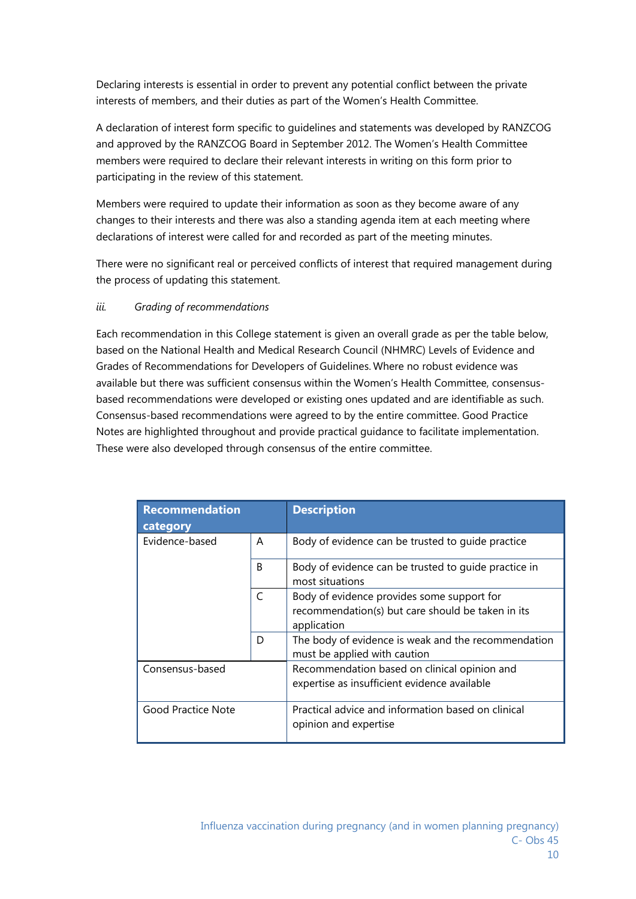Declaring interests is essential in order to prevent any potential conflict between the private interests of members, and their duties as part of the Women's Health Committee.

A declaration of interest form specific to guidelines and statements was developed by RANZCOG and approved by the RANZCOG Board in September 2012. The Women's Health Committee members were required to declare their relevant interests in writing on this form prior to participating in the review of this statement.

Members were required to update their information as soon as they become aware of any changes to their interests and there was also a standing agenda item at each meeting where declarations of interest were called for and recorded as part of the meeting minutes.

There were no significant real or perceived conflicts of interest that required management during the process of updating this statement.

## *iii. Grading of recommendations*

Each recommendation in this College statement is given an overall grade as per the table below, based on the National Health and Medical Research Council (NHMRC) Levels of Evidence and Grades of Recommendations for Developers of Guidelines. Where no robust evidence was available but there was sufficient consensus within the Women's Health Committee, consensusbased recommendations were developed or existing ones updated and are identifiable as such. Consensus-based recommendations were agreed to by the entire committee. Good Practice Notes are highlighted throughout and provide practical guidance to facilitate implementation. These were also developed through consensus of the entire committee.

| <b>Recommendation</b><br>category     |              | <b>Description</b>                                                                                             |
|---------------------------------------|--------------|----------------------------------------------------------------------------------------------------------------|
| Evidence-based                        | A            | Body of evidence can be trusted to quide practice                                                              |
|                                       | B            | Body of evidence can be trusted to guide practice in<br>most situations                                        |
|                                       | $\mathsf{C}$ | Body of evidence provides some support for<br>recommendation(s) but care should be taken in its<br>application |
|                                       | D            | The body of evidence is weak and the recommendation<br>must be applied with caution                            |
| Consensus-based<br>Good Practice Note |              | Recommendation based on clinical opinion and<br>expertise as insufficient evidence available                   |
|                                       |              | Practical advice and information based on clinical<br>opinion and expertise                                    |